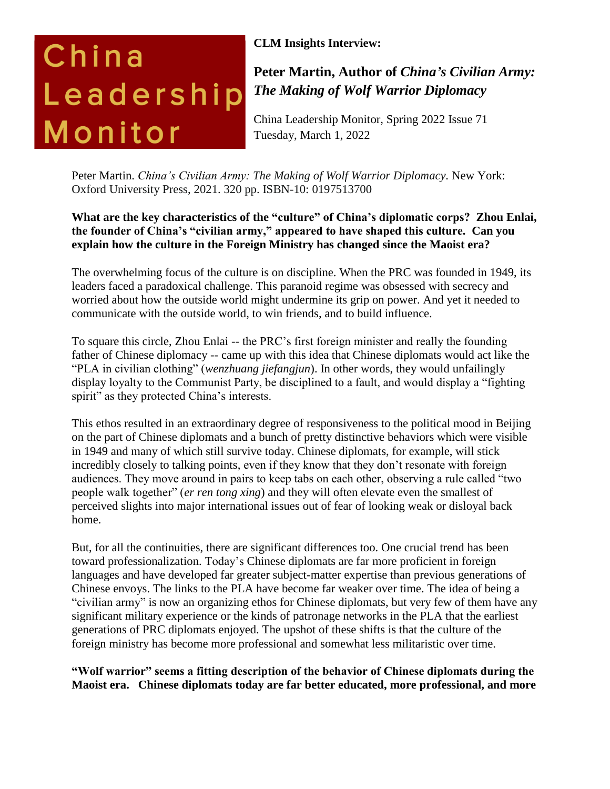# China Leadership Monitor

# **CLM Insights Interview:**

# **Peter Martin, Author of** *China's Civilian Army: The Making of Wolf Warrior Diplomacy*

China Leadership Monitor, Spring 2022 Issue 71 Tuesday, March 1, 2022

Peter Martin. *China's Civilian Army: The Making of Wolf Warrior Diplomacy*. New York: Oxford University Press, 2021. 320 pp. ISBN-10: 0197513700

# **What are the key characteristics of the "culture" of China's diplomatic corps? Zhou Enlai, the founder of China's "civilian army," appeared to have shaped this culture. Can you explain how the culture in the Foreign Ministry has changed since the Maoist era?**

The overwhelming focus of the culture is on discipline. When the PRC was founded in 1949, its leaders faced a paradoxical challenge. This paranoid regime was obsessed with secrecy and worried about how the outside world might undermine its grip on power. And yet it needed to communicate with the outside world, to win friends, and to build influence.

To square this circle, Zhou Enlai -- the PRC's first foreign minister and really the founding father of Chinese diplomacy -- came up with this idea that Chinese diplomats would act like the "PLA in civilian clothing" (*wenzhuang jiefangjun*). In other words, they would unfailingly display loyalty to the Communist Party, be disciplined to a fault, and would display a "fighting spirit" as they protected China's interests.

This ethos resulted in an extraordinary degree of responsiveness to the political mood in Beijing on the part of Chinese diplomats and a bunch of pretty distinctive behaviors which were visible in 1949 and many of which still survive today. Chinese diplomats, for example, will stick incredibly closely to talking points, even if they know that they don't resonate with foreign audiences. They move around in pairs to keep tabs on each other, observing a rule called "two people walk together" (*er ren tong xing*) and they will often elevate even the smallest of perceived slights into major international issues out of fear of looking weak or disloyal back home.

But, for all the continuities, there are significant differences too. One crucial trend has been toward professionalization. Today's Chinese diplomats are far more proficient in foreign languages and have developed far greater subject-matter expertise than previous generations of Chinese envoys. The links to the PLA have become far weaker over time. The idea of being a "civilian army" is now an organizing ethos for Chinese diplomats, but very few of them have any significant military experience or the kinds of patronage networks in the PLA that the earliest generations of PRC diplomats enjoyed. The upshot of these shifts is that the culture of the foreign ministry has become more professional and somewhat less militaristic over time.

**"Wolf warrior" seems a fitting description of the behavior of Chinese diplomats during the Maoist era. Chinese diplomats today are far better educated, more professional, and more**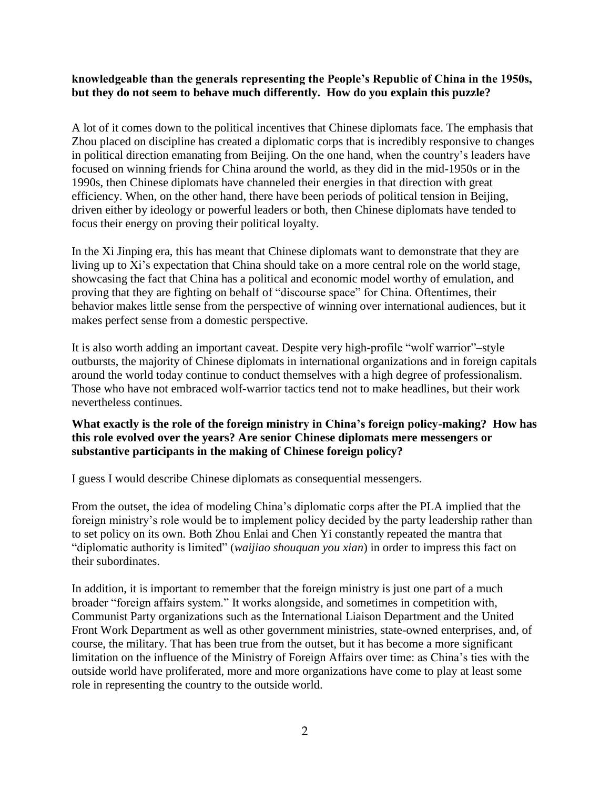#### **knowledgeable than the generals representing the People's Republic of China in the 1950s, but they do not seem to behave much differently. How do you explain this puzzle?**

A lot of it comes down to the political incentives that Chinese diplomats face. The emphasis that Zhou placed on discipline has created a diplomatic corps that is incredibly responsive to changes in political direction emanating from Beijing. On the one hand, when the country's leaders have focused on winning friends for China around the world, as they did in the mid-1950s or in the 1990s, then Chinese diplomats have channeled their energies in that direction with great efficiency. When, on the other hand, there have been periods of political tension in Beijing, driven either by ideology or powerful leaders or both, then Chinese diplomats have tended to focus their energy on proving their political loyalty.

In the Xi Jinping era, this has meant that Chinese diplomats want to demonstrate that they are living up to Xi's expectation that China should take on a more central role on the world stage, showcasing the fact that China has a political and economic model worthy of emulation, and proving that they are fighting on behalf of "discourse space" for China. Oftentimes, their behavior makes little sense from the perspective of winning over international audiences, but it makes perfect sense from a domestic perspective.

It is also worth adding an important caveat. Despite very high-profile "wolf warrior"–style outbursts, the majority of Chinese diplomats in international organizations and in foreign capitals around the world today continue to conduct themselves with a high degree of professionalism. Those who have not embraced wolf-warrior tactics tend not to make headlines, but their work nevertheless continues.

#### **What exactly is the role of the foreign ministry in China's foreign policy-making? How has this role evolved over the years? Are senior Chinese diplomats mere messengers or substantive participants in the making of Chinese foreign policy?**

I guess I would describe Chinese diplomats as consequential messengers.

From the outset, the idea of modeling China's diplomatic corps after the PLA implied that the foreign ministry's role would be to implement policy decided by the party leadership rather than to set policy on its own. Both Zhou Enlai and Chen Yi constantly repeated the mantra that "diplomatic authority is limited" (*waijiao shouquan you xian*) in order to impress this fact on their subordinates.

In addition, it is important to remember that the foreign ministry is just one part of a much broader "foreign affairs system." It works alongside, and sometimes in competition with, Communist Party organizations such as the International Liaison Department and the United Front Work Department as well as other government ministries, state-owned enterprises, and, of course, the military. That has been true from the outset, but it has become a more significant limitation on the influence of the Ministry of Foreign Affairs over time: as China's ties with the outside world have proliferated, more and more organizations have come to play at least some role in representing the country to the outside world.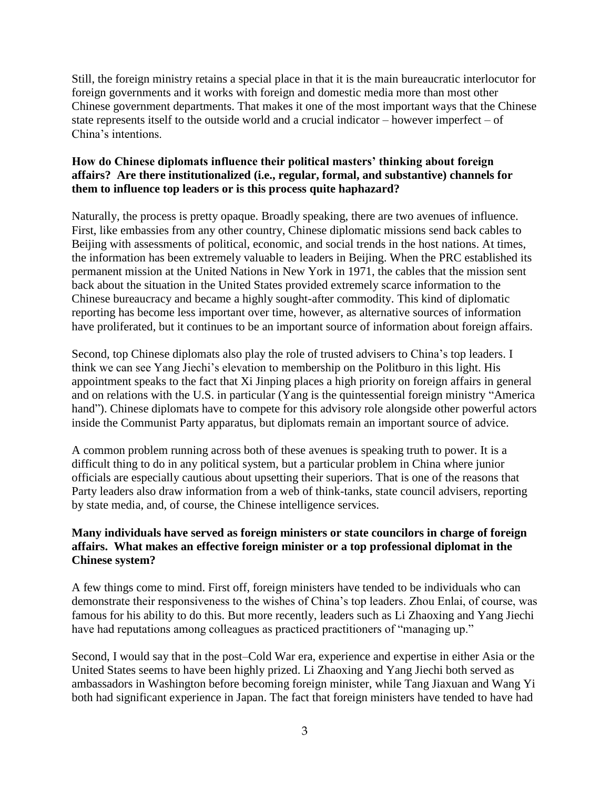Still, the foreign ministry retains a special place in that it is the main bureaucratic interlocutor for foreign governments and it works with foreign and domestic media more than most other Chinese government departments. That makes it one of the most important ways that the Chinese state represents itself to the outside world and a crucial indicator – however imperfect – of China's intentions.

# **How do Chinese diplomats influence their political masters' thinking about foreign affairs? Are there institutionalized (i.e., regular, formal, and substantive) channels for them to influence top leaders or is this process quite haphazard?**

Naturally, the process is pretty opaque. Broadly speaking, there are two avenues of influence. First, like embassies from any other country, Chinese diplomatic missions send back cables to Beijing with assessments of political, economic, and social trends in the host nations. At times, the information has been extremely valuable to leaders in Beijing. When the PRC established its permanent mission at the United Nations in New York in 1971, the cables that the mission sent back about the situation in the United States provided extremely scarce information to the Chinese bureaucracy and became a highly sought-after commodity. This kind of diplomatic reporting has become less important over time, however, as alternative sources of information have proliferated, but it continues to be an important source of information about foreign affairs.

Second, top Chinese diplomats also play the role of trusted advisers to China's top leaders. I think we can see Yang Jiechi's elevation to membership on the Politburo in this light. His appointment speaks to the fact that Xi Jinping places a high priority on foreign affairs in general and on relations with the U.S. in particular (Yang is the quintessential foreign ministry "America hand"). Chinese diplomats have to compete for this advisory role alongside other powerful actors inside the Communist Party apparatus, but diplomats remain an important source of advice.

A common problem running across both of these avenues is speaking truth to power. It is a difficult thing to do in any political system, but a particular problem in China where junior officials are especially cautious about upsetting their superiors. That is one of the reasons that Party leaders also draw information from a web of think-tanks, state council advisers, reporting by state media, and, of course, the Chinese intelligence services.

# **Many individuals have served as foreign ministers or state councilors in charge of foreign affairs. What makes an effective foreign minister or a top professional diplomat in the Chinese system?**

A few things come to mind. First off, foreign ministers have tended to be individuals who can demonstrate their responsiveness to the wishes of China's top leaders. Zhou Enlai, of course, was famous for his ability to do this. But more recently, leaders such as Li Zhaoxing and Yang Jiechi have had reputations among colleagues as practiced practitioners of "managing up."

Second, I would say that in the post–Cold War era, experience and expertise in either Asia or the United States seems to have been highly prized. Li Zhaoxing and Yang Jiechi both served as ambassadors in Washington before becoming foreign minister, while Tang Jiaxuan and Wang Yi both had significant experience in Japan. The fact that foreign ministers have tended to have had